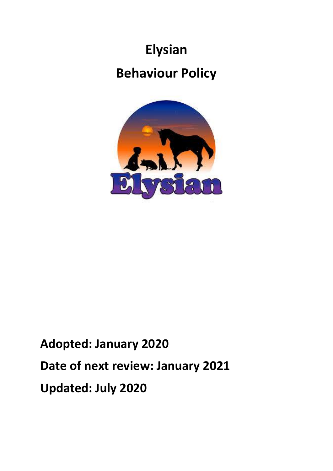# **Elysian Behaviour Policy**



## **Adopted: January 2020 Date of next review: January 2021 Updated: July 2020**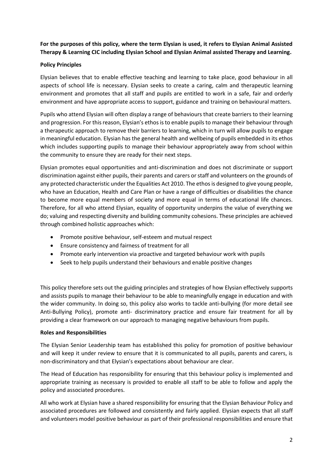## **For the purposes of this policy, where the term Elysian is used, it refers to Elysian Animal Assisted Therapy & Learning CIC including Elysian School and Elysian Animal assisted Therapy and Learning.**

## **Policy Principles**

Elysian believes that to enable effective teaching and learning to take place, good behaviour in all aspects of school life is necessary. Elysian seeks to create a caring, calm and therapeutic learning environment and promotes that all staff and pupils are entitled to work in a safe, fair and orderly environment and have appropriate access to support, guidance and training on behavioural matters.

Pupils who attend Elysian will often display a range of behaviours that create barriers to their learning and progression. For this reason, Elysian's ethos is to enable pupils to manage their behaviour through a therapeutic approach to remove their barriers to learning, which in turn will allow pupils to engage in meaningful education. Elysian has the general health and wellbeing of pupils embedded in its ethos which includes supporting pupils to manage their behaviour appropriately away from school within the community to ensure they are ready for their next steps.

Elysian promotes equal opportunities and anti-discrimination and does not discriminate or support discrimination against either pupils, their parents and carers or staff and volunteers on the grounds of any protected characteristic under the Equalities Act 2010. The ethos is designed to give young people, who have an Education, Health and Care Plan or have a range of difficulties or disabilities the chance to become more equal members of society and more equal in terms of educational life chances. Therefore, for all who attend Elysian, equality of opportunity underpins the value of everything we do; valuing and respecting diversity and building community cohesions. These principles are achieved through combined holistic approaches which:

- Promote positive behaviour, self-esteem and mutual respect
- Ensure consistency and fairness of treatment for all
- Promote early intervention via proactive and targeted behaviour work with pupils
- Seek to help pupils understand their behaviours and enable positive changes

This policy therefore sets out the guiding principles and strategies of how Elysian effectively supports and assists pupils to manage their behaviour to be able to meaningfully engage in education and with the wider community. In doing so, this policy also works to tackle anti-bullying (for more detail see Anti-Bullying Policy), promote anti- discriminatory practice and ensure fair treatment for all by providing a clear framework on our approach to managing negative behaviours from pupils.

## **Roles and Responsibilities**

The Elysian Senior Leadership team has established this policy for promotion of positive behaviour and will keep it under review to ensure that it is communicated to all pupils, parents and carers, is non-discriminatory and that Elysian's expectations about behaviour are clear.

The Head of Education has responsibility for ensuring that this behaviour policy is implemented and appropriate training as necessary is provided to enable all staff to be able to follow and apply the policy and associated procedures.

All who work at Elysian have a shared responsibility for ensuring that the Elysian Behaviour Policy and associated procedures are followed and consistently and fairly applied. Elysian expects that all staff and volunteers model positive behaviour as part of their professional responsibilities and ensure that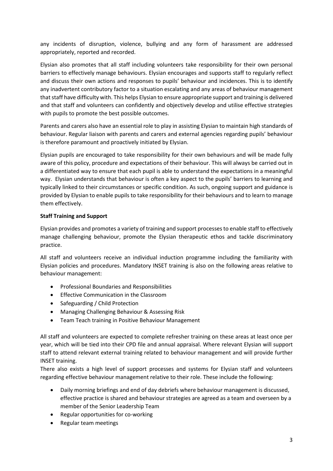any incidents of disruption, violence, bullying and any form of harassment are addressed appropriately, reported and recorded.

Elysian also promotes that all staff including volunteers take responsibility for their own personal barriers to effectively manage behaviours. Elysian encourages and supports staff to regularly reflect and discuss their own actions and responses to pupils' behaviour and incidences. This is to identify any inadvertent contributory factor to a situation escalating and any areas of behaviour management that staff have difficulty with. This helps Elysian to ensure appropriate support and training is delivered and that staff and volunteers can confidently and objectively develop and utilise effective strategies with pupils to promote the best possible outcomes.

Parents and carers also have an essential role to play in assisting Elysian to maintain high standards of behaviour. Regular liaison with parents and carers and external agencies regarding pupils' behaviour is therefore paramount and proactively initiated by Elysian.

Elysian pupils are encouraged to take responsibility for their own behaviours and will be made fully aware of this policy, procedure and expectations of their behaviour. This will always be carried out in a differentiated way to ensure that each pupil is able to understand the expectations in a meaningful way. Elysian understands that behaviour is often a key aspect to the pupils' barriers to learning and typically linked to their circumstances or specific condition. As such, ongoing support and guidance is provided by Elysian to enable pupils to take responsibility for their behaviours and to learn to manage them effectively.

## **Staff Training and Support**

Elysian provides and promotes a variety of training and support processes to enable staff to effectively manage challenging behaviour, promote the Elysian therapeutic ethos and tackle discriminatory practice.

All staff and volunteers receive an individual induction programme including the familiarity with Elysian policies and procedures. Mandatory INSET training is also on the following areas relative to behaviour management:

- Professional Boundaries and Responsibilities
- Effective Communication in the Classroom
- Safeguarding / Child Protection
- Managing Challenging Behaviour & Assessing Risk
- Team Teach training in Positive Behaviour Management

All staff and volunteers are expected to complete refresher training on these areas at least once per year, which will be tied into their CPD file and annual appraisal. Where relevant Elysian will support staff to attend relevant external training related to behaviour management and will provide further INSET training.

There also exists a high level of support processes and systems for Elysian staff and volunteers regarding effective behaviour management relative to their role. These include the following:

- Daily morning briefings and end of day debriefs where behaviour management is discussed, effective practice is shared and behaviour strategies are agreed as a team and overseen by a member of the Senior Leadership Team
- Regular opportunities for co-working
- Regular team meetings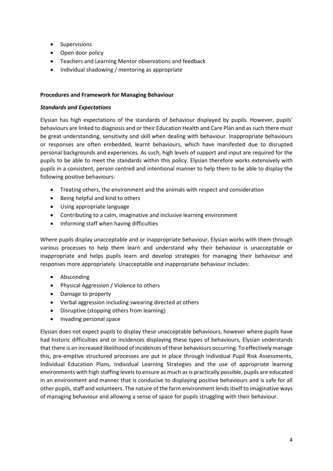- Supervisions
- Open door policy
- Teachers and Learning Mentor observations and feedback
- Individual shadowing / mentoring as appropriate

## **Procedures and Framework for Managing Behaviour**

#### *Standards and Expectations*

Elysian has high expectations of the standards of behaviour displayed by pupils. However, pupils' behaviours are linked to diagnosis and or their Education Health and Care Plan and as such there must be great understanding, sensitivity and skill when dealing with behaviour. Inappropriate behaviours or responses are often embedded, learnt behaviours, which have manifested due to disrupted personal backgrounds and experiences. As such, high levels of support and input are required for the pupils to be able to meet the standards within this policy. Elysian therefore works extensively with pupils in a consistent, person centred and intentional manner to help them to be able to display the following positive behaviours:

- Treating others, the environment and the animals with respect and consideration
- Being helpful and kind to others
- Using appropriate language
- Contributing to a calm, imaginative and inclusive learning environment
- Informing staff when having difficulties

Where pupils display unacceptable and or inappropriate behaviour, Elysian works with them through various processes to help them learn and understand why their behaviour is unacceptable or inappropriate and helps pupils learn and develop strategies for managing their behaviour and responses more appropriately. Unacceptable and inappropriate behaviour includes:

- Absconding
- Physical Aggression / Violence to others
- Damage to property
- Verbal aggression including swearing directed at others
- Disruptive (stopping others from learning)
- Invading personal space

Elysian does not expect pupils to display these unacceptable behaviours, however where pupils have had historic difficulties and or incidences displaying these types of behaviours, Elysian understands that there is an increased likelihood of incidences of these behaviours occurring. To effectively manage this, pre-emptive structured processes are put in place through Individual Pupil Risk Assessments, Individual Education Plans, Individual Learning Strategies and the use of appropriate learning environments with high staffing levels to ensure as much as is practically possible, pupils are educated in an environment and manner that is conducive to displaying positive behaviours and is safe for all other pupils, staff and volunteers. The nature of the farm environment lends itself to imaginative ways of managing behaviour and allowing a sense of space for pupils struggling with their behaviour.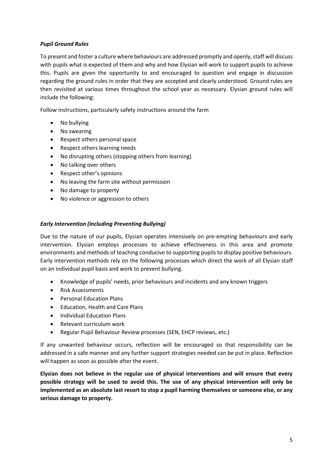## *Pupil Ground Rules*

To present and foster a culture where behaviours are addressed promptly and openly, staff will discuss with pupils what is expected of them and why and how Elysian will work to support pupils to achieve this. Pupils are given the opportunity to and encouraged to question and engage in discussion regarding the ground rules in order that they are accepted and clearly understood. Ground rules are then revisited at various times throughout the school year as necessary. Elysian ground rules will include the following:

Follow instructions, particularly safety instructions around the farm

- No bullying
- No swearing
- Respect others personal space
- Respect others learning needs
- No disrupting others (stopping others from learning)
- No talking over others
- Respect other's opinions
- No leaving the farm site without permission
- No damage to property
- No violence or aggression to others

#### *Early Intervention (including Preventing Bullying)*

Due to the nature of our pupils, Elysian operates intensively on pre-empting behaviours and early intervention. Elysian employs processes to achieve effectiveness in this area and promote environments and methods of teaching conducive to supporting pupils to display positive behaviours. Early intervention methods rely on the following processes which direct the work of all Elysian staff on an individual pupil basis and work to prevent bullying.

- Knowledge of pupils' needs, prior behaviours and incidents and any known triggers
- Risk Assessments
- Personal Education Plans
- Education, Health and Care Plans
- Individual Education Plans
- Relevant curriculum work
- Regular Pupil Behaviour Review processes (SEN, EHCP reviews, etc.)

If any unwanted behaviour occurs, reflection will be encouraged so that responsibility can be addressed in a safe manner and any further support strategies needed can be put in place. Reflection will happen as soon as possible after the event.

**Elysian does not believe in the regular use of physical interventions and will ensure that every possible strategy will be used to avoid this. The use of any physical intervention will only be implemented as an absolute last resort to stop a pupil harming themselves or someone else, or any serious damage to property.**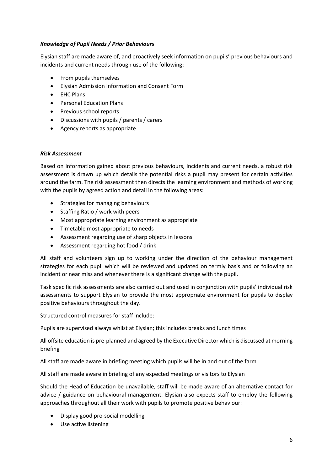## *Knowledge of Pupil Needs / Prior Behaviours*

Elysian staff are made aware of, and proactively seek information on pupils' previous behaviours and incidents and current needs through use of the following:

- From pupils themselves
- Elysian Admission Information and Consent Form
- EHC Plans
- Personal Education Plans
- Previous school reports
- Discussions with pupils / parents / carers
- Agency reports as appropriate

#### *Risk Assessment*

Based on information gained about previous behaviours, incidents and current needs, a robust risk assessment is drawn up which details the potential risks a pupil may present for certain activities around the farm. The risk assessment then directs the learning environment and methods of working with the pupils by agreed action and detail in the following areas:

- Strategies for managing behaviours
- Staffing Ratio / work with peers
- Most appropriate learning environment as appropriate
- Timetable most appropriate to needs
- Assessment regarding use of sharp objects in lessons
- Assessment regarding hot food / drink

All staff and volunteers sign up to working under the direction of the behaviour management strategies for each pupil which will be reviewed and updated on termly basis and or following an incident or near miss and whenever there is a significant change with the pupil.

Task specific risk assessments are also carried out and used in conjunction with pupils' individual risk assessments to support Elysian to provide the most appropriate environment for pupils to display positive behaviours throughout the day.

Structured control measures for staff include:

Pupils are supervised always whilst at Elysian; this includes breaks and lunch times

All offsite education is pre-planned and agreed by the Executive Director which is discussed at morning briefing

All staff are made aware in briefing meeting which pupils will be in and out of the farm

All staff are made aware in briefing of any expected meetings or visitors to Elysian

Should the Head of Education be unavailable, staff will be made aware of an alternative contact for advice / guidance on behavioural management. Elysian also expects staff to employ the following approaches throughout all their work with pupils to promote positive behaviour:

- Display good pro-social modelling
- Use active listening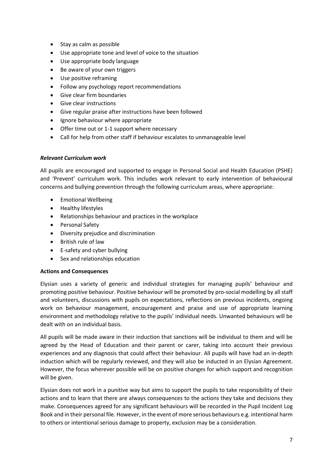- Stay as calm as possible
- Use appropriate tone and level of voice to the situation
- Use appropriate body language
- Be aware of your own triggers
- Use positive reframing
- Follow any psychology report recommendations
- Give clear firm boundaries
- Give clear instructions
- Give regular praise after instructions have been followed
- Ignore behaviour where appropriate
- Offer time out or 1-1 support where necessary
- Call for help from other staff if behaviour escalates to unmanageable level

#### *Relevant Curriculum work*

All pupils are encouraged and supported to engage in Personal Social and Health Education (PSHE) and 'Prevent' curriculum work. This includes work relevant to early intervention of behavioural concerns and bullying prevention through the following curriculum areas, where appropriate:

- Emotional Wellbeing
- Healthy lifestyles
- Relationships behaviour and practices in the workplace
- Personal Safety
- Diversity prejudice and discrimination
- British rule of law
- E-safety and cyber bullying
- Sex and relationships education

#### **Actions and Consequences**

Elysian uses a variety of generic and individual strategies for managing pupils' behaviour and promoting positive behaviour. Positive behaviour will be promoted by pro-social modelling by all staff and volunteers, discussions with pupils on expectations, reflections on previous incidents, ongoing work on behaviour management, encouragement and praise and use of appropriate learning environment and methodology relative to the pupils' individual needs. Unwanted behaviours will be dealt with on an individual basis.

All pupils will be made aware in their induction that sanctions will be individual to them and will be agreed by the Head of Education and their parent or carer, taking into account their previous experiences and any diagnosis that could affect their behaviour. All pupils will have had an in-depth induction which will be regularly reviewed, and they will also be inducted in an Elysian Agreement. However, the focus wherever possible will be on positive changes for which support and recognition will be given.

Elysian does not work in a punitive way but aims to support the pupils to take responsibility of their actions and to learn that there are always consequences to the actions they take and decisions they make. Consequences agreed for any significant behaviours will be recorded in the Pupil Incident Log Book and in their personal file. However, in the event of more serious behaviours e.g. intentional harm to others or intentional serious damage to property, exclusion may be a consideration.